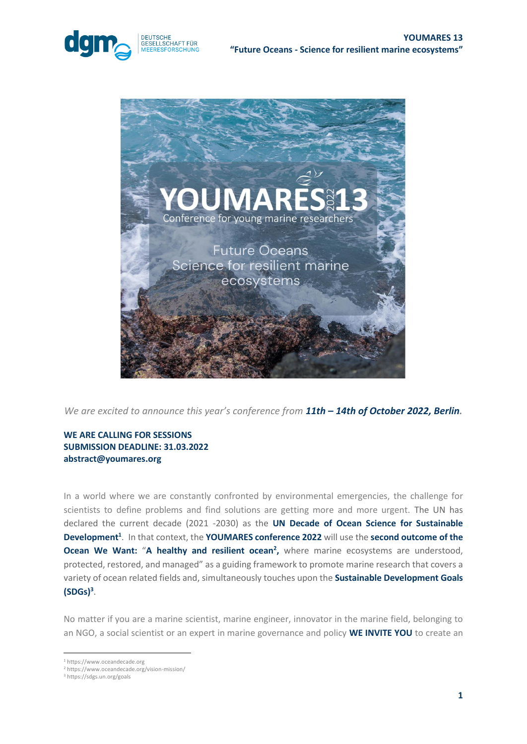



*We are excited to announce this year's conference from 11th - 14th of October 2022, Berlin.* 

## **WE ARE CALLING FOR SESSIONS SUBMISSION DEADLINE: 31.03.2022 abstract@youmares.org**

In a world where we are constantly confronted by environmental emergencies, the challenge for scientists to define problems and find solutions are getting more and more urgent. The UN has declared the current decade (2021 -2030) as the **UN Decade of Ocean Science for Sustainable Development<sup>1</sup>** . In that context, the **YOUMARES conference 2022** will use the **second outcome of the Ocean We Want: "A healthy and resilient ocean<sup>2</sup>, where marine ecosystems are understood,** protected, restored, and managed" as a guiding framework to promote marine research that covers a variety of ocean related fields and, simultaneously touches upon the **Sustainable Development Goals (SDGs)<sup>3</sup>** .

No matter if you are a marine scientist, marine engineer, innovator in the marine field, belonging to an NGO, a social scientist or an expert in marine governance and policy **WE INVITE YOU** to create an

<sup>1</sup> https://www.oceandecade.org

<sup>2</sup> https://www.oceandecade.org/vision-mission/

<sup>3</sup> https://sdgs.un.org/goals